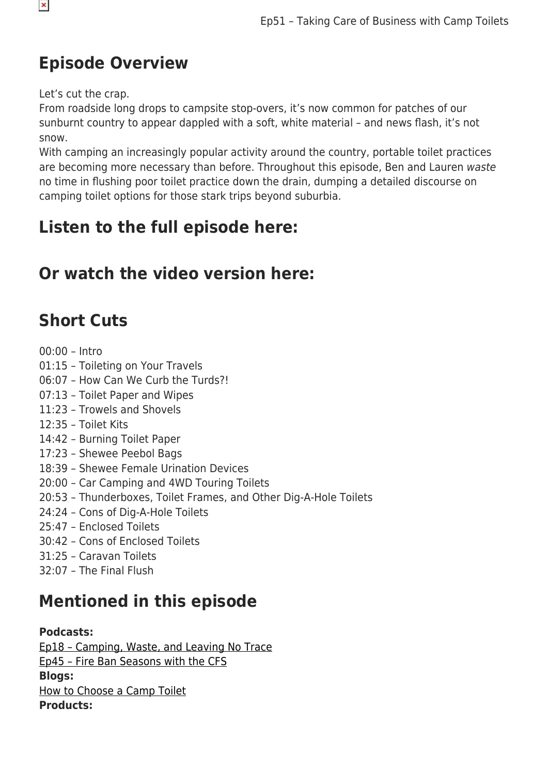#### **Episode Overview**

Let's cut the crap.

From roadside long drops to campsite stop-overs, it's now common for patches of our sunburnt country to appear dappled with a soft, white material – and news flash, it's not snow.

With camping an increasingly popular activity around the country, portable toilet practices are becoming more necessary than before. Throughout this episode, Ben and Lauren waste no time in flushing poor toilet practice down the drain, dumping a detailed discourse on camping toilet options for those stark trips beyond suburbia.

### **Listen to the full episode here:**

### **Or watch the video version here:**

### **Short Cuts**

00:00 – Intro 01:15 – Toileting on Your Travels 06:07 – How Can We Curb the Turds?! 07:13 – Toilet Paper and Wipes 11:23 – Trowels and Shovels 12:35 – Toilet Kits 14:42 – Burning Toilet Paper 17:23 – Shewee Peebol Bags 18:39 – Shewee Female Urination Devices 20:00 – Car Camping and 4WD Touring Toilets 20:53 – Thunderboxes, Toilet Frames, and Other Dig-A-Hole Toilets 24:24 – Cons of Dig-A-Hole Toilets 25:47 – Enclosed Toilets 30:42 – Cons of Enclosed Toilets 31:25 – Caravan Toilets 32:07 – The Final Flush **Mentioned in this episode**

#### **Podcasts:**

[Ep18 – Camping, Waste, and Leaving No Trace](https://www.snowys.com.au/blog/podcast-waste-leaving-no-trace/) [Ep45 – Fire Ban Seasons with the CFS](https://www.snowys.com.au/blog/podcast-fire-ban-season/) **Blogs:** [How to Choose a Camp Toilet](https://www.snowys.com.au/blog/how-to-choose-a-camp-toilet/) **Products:**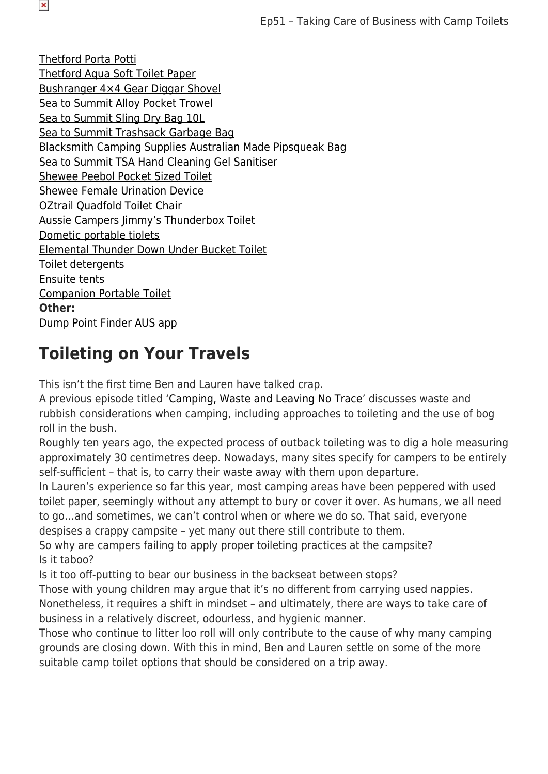[Thetford Porta Potti](https://www.snowys.com.au/search?w=Thetford) [Thetford Aqua Soft Toilet Paper](https://www.snowys.com.au/aqua-soft-toilet-paper) [Bushranger 4×4 Gear Diggar Shovel](https://www.snowys.com.au/diggar-shovel) [Sea to Summit Alloy Pocket Trowel](https://www.snowys.com.au/alloy-pocket-trowel) [Sea to Summit Sling Dry Bag 10L](https://www.snowys.com.au/sling-dry-bag-10l?c=Blue) [Sea to Summit Trashsack Garbage Bag](https://www.snowys.com.au/trashsack-garbage-bag) [Blacksmith Camping Supplies Australian Made Pipsqueak Bag](https://www.snowys.com.au/australian-made-pipsqueak-bag?c=Khaki) [Sea to Summit TSA Hand Cleaning Gel Sanitiser](https://www.snowys.com.au/hand-sanitizer-89ml) [Shewee Peebol Pocket Sized Toilet](https://www.snowys.com.au/peebol-pocket-sized-toilet) [Shewee Female Urination Device](https://www.snowys.com.au/female-urination-device) [OZtrail Quadfold Toilet Chair](https://www.snowys.com.au/quadfold-toilet-chair) [Aussie Campers Jimmy's Thunderbox Toilet](https://www.snowys.com.au/jimmys-thunderbox-toilet) [Dometic portable tiolets](https://www.snowys.com.au/search?w=portable%20toi) [Elemental Thunder Down Under Bucket Toilet](https://www.snowys.com.au/thunder-down-under-toilet) [Toilet detergents](https://www.snowys.com.au/search?w=toilet%20detergent) [Ensuite tents](https://www.snowys.com.au/search?w=ensuite%20tents) [Companion Portable Toilet](https://www.snowys.com.au/portable-toilet) **Other:** [Dump Point Finder AUS app](https://apps.apple.com/au/app/dump-point-finder-aus/id1457942245)

#### **Toileting on Your Travels**

This isn't the first time Ben and Lauren have talked crap.

A previous episode titled '[Camping, Waste and Leaving No Trace'](https://www.snowys.com.au/blog/podcast-waste-leaving-no-trace/) discusses waste and rubbish considerations when camping, including approaches to toileting and the use of bog roll in the bush.

Roughly ten years ago, the expected process of outback toileting was to dig a hole measuring approximately 30 centimetres deep. Nowadays, many sites specify for campers to be entirely self-sufficient – that is, to carry their waste away with them upon departure.

In Lauren's experience so far this year, most camping areas have been peppered with used toilet paper, seemingly without any attempt to bury or cover it over. As humans, we all need to go…and sometimes, we can't control when or where we do so. That said, everyone despises a crappy campsite – yet many out there still contribute to them.

So why are campers failing to apply proper toileting practices at the campsite? Is it taboo?

Is it too off-putting to bear our business in the backseat between stops?

Those with young children may argue that it's no different from carrying used nappies. Nonetheless, it requires a shift in mindset – and ultimately, there are ways to take care of business in a relatively discreet, odourless, and hygienic manner.

Those who continue to litter loo roll will only contribute to the cause of why many camping grounds are closing down. With this in mind, Ben and Lauren settle on some of the more suitable camp toilet options that should be considered on a trip away.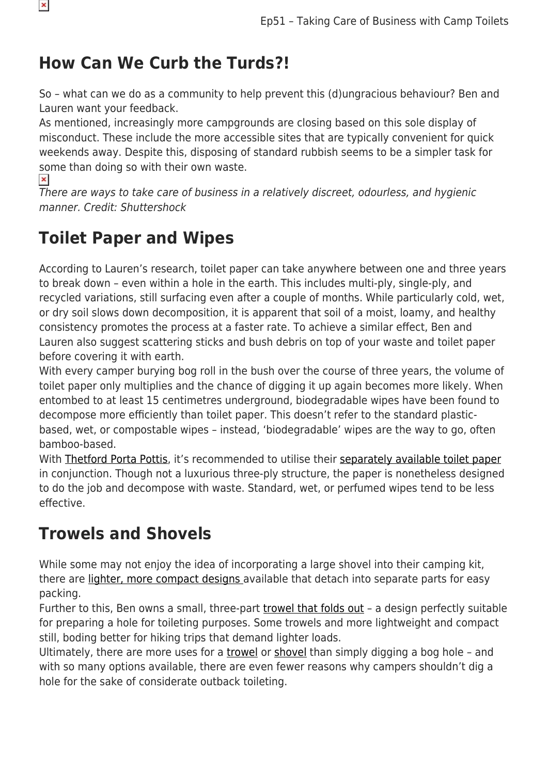#### **How Can We Curb the Turds?!**

So – what can we do as a community to help prevent this (d)ungracious behaviour? Ben and Lauren want your feedback.

As mentioned, increasingly more campgrounds are closing based on this sole display of misconduct. These include the more accessible sites that are typically convenient for quick weekends away. Despite this, disposing of standard rubbish seems to be a simpler task for some than doing so with their own waste.  $\pmb{\times}$ 

There are ways to take care of business in a relatively discreet, odourless, and hygienic manner. Credit: Shuttershock

### **Toilet Paper and Wipes**

According to Lauren's research, toilet paper can take anywhere between one and three years to break down – even within a hole in the earth. This includes multi-ply, single-ply, and recycled variations, still surfacing even after a couple of months. While particularly cold, wet, or dry soil slows down decomposition, it is apparent that soil of a moist, loamy, and healthy consistency promotes the process at a faster rate. To achieve a similar effect, Ben and Lauren also suggest scattering sticks and bush debris on top of your waste and toilet paper before covering it with earth.

With every camper burying bog roll in the bush over the course of three years, the volume of toilet paper only multiplies and the chance of digging it up again becomes more likely. When entombed to at least 15 centimetres underground, biodegradable wipes have been found to decompose more efficiently than toilet paper. This doesn't refer to the standard plasticbased, wet, or compostable wipes – instead, 'biodegradable' wipes are the way to go, often bamboo-based.

With [Thetford Porta Pottis](https://www.snowys.com.au/search?w=Thetford), it's recommended to utilise their [separately available toilet paper](https://www.snowys.com.au/aqua-soft-toilet-paper) in conjunction. Though not a luxurious three-ply structure, the paper is nonetheless designed to do the job and decompose with waste. Standard, wet, or perfumed wipes tend to be less effective.

### **Trowels and Shovels**

While some may not enjoy the idea of incorporating a large shovel into their camping kit, there are [lighter, more compact designs](https://www.snowys.com.au/diggar-shovel) available that detach into separate parts for easy packing.

Further to this, Ben owns a small, three-part [trowel that folds out](https://www.snowys.com.au/alloy-pocket-trowel) – a design perfectly suitable for preparing a hole for toileting purposes. Some trowels and more lightweight and compact still, boding better for hiking trips that demand lighter loads.

Ultimately, there are more uses for a [trowel](https://www.snowys.com.au/alloy-pocket-trowel) or [shovel](https://www.snowys.com.au/diggar-shovel) than simply digging a bog hole – and with so many options available, there are even fewer reasons why campers shouldn't dig a hole for the sake of considerate outback toileting.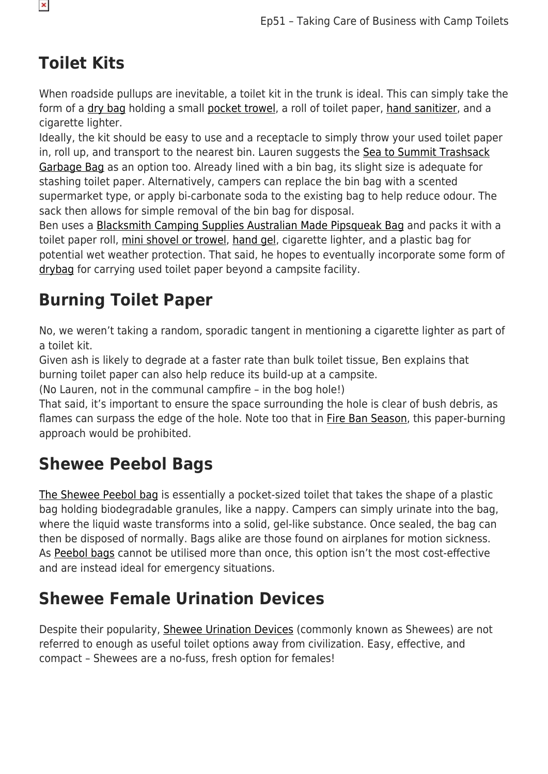### **Toilet Kits**

When roadside pullups are inevitable, a toilet kit in the trunk is ideal. This can simply take the form of a [dry bag](https://www.snowys.com.au/sling-dry-bag-10l?c=Blue) holding a small [pocket trowel](https://www.snowys.com.au/alloy-pocket-trowel), a roll of toilet paper, [hand sanitizer,](https://www.snowys.com.au/hand-sanitizer-89ml) and a cigarette lighter.

Ideally, the kit should be easy to use and a receptacle to simply throw your used toilet paper in, roll up, and transport to the nearest bin. Lauren suggests the [Sea to Summit Trashsack](https://www.snowys.com.au/trashsack-garbage-bag) [Garbage Bag](https://www.snowys.com.au/trashsack-garbage-bag) as an option too. Already lined with a bin bag, its slight size is adequate for stashing toilet paper. Alternatively, campers can replace the bin bag with a scented supermarket type, or apply bi-carbonate soda to the existing bag to help reduce odour. The sack then allows for simple removal of the bin bag for disposal.

Ben uses a [Blacksmith Camping Supplies Australian Made Pipsqueak Bag](https://www.snowys.com.au/australian-made-pipsqueak-bag?c=Khaki) and packs it with a toilet paper roll, [mini shovel or trowel,](https://www.snowys.com.au/alloy-pocket-trowel) [hand gel,](https://www.snowys.com.au/hand-sanitizer-89ml) cigarette lighter, and a plastic bag for potential wet weather protection. That said, he hopes to eventually incorporate some form of [drybag](https://www.snowys.com.au/sling-dry-bag-10l?c=Blue) for carrying used toilet paper beyond a campsite facility.

# **Burning Toilet Paper**

No, we weren't taking a random, sporadic tangent in mentioning a cigarette lighter as part of a toilet kit.

Given ash is likely to degrade at a faster rate than bulk toilet tissue, Ben explains that burning toilet paper can also help reduce its build-up at a campsite.

(No Lauren, not in the communal campfire – in the bog hole!)

That said, it's important to ensure the space surrounding the hole is clear of bush debris, as flames can surpass the edge of the hole. Note too that in [Fire Ban Season](https://www.snowys.com.au/blog/podcast-fire-ban-season/), this paper-burning approach would be prohibited.

### **Shewee Peebol Bags**

[The Shewee Peebol bag](https://www.snowys.com.au/peebol-pocket-sized-toilet) is essentially a pocket-sized toilet that takes the shape of a plastic bag holding biodegradable granules, like a nappy. Campers can simply urinate into the bag, where the liquid waste transforms into a solid, gel-like substance. Once sealed, the bag can then be disposed of normally. Bags alike are those found on airplanes for motion sickness. As [Peebol bags](https://www.snowys.com.au/peebol-pocket-sized-toilet) cannot be utilised more than once, this option isn't the most cost-effective and are instead ideal for emergency situations.

### **Shewee Female Urination Devices**

Despite their popularity, [Shewee Urination Devices](https://www.snowys.com.au/female-urination-device) (commonly known as Shewees) are not referred to enough as useful toilet options away from civilization. Easy, effective, and compact – Shewees are a no-fuss, fresh option for females!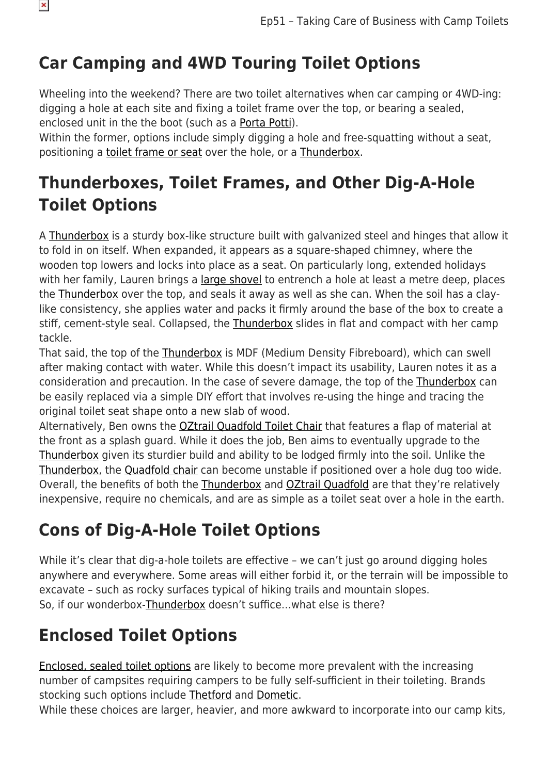# **Car Camping and 4WD Touring Toilet Options**

Wheeling into the weekend? There are two toilet alternatives when car camping or 4WD-ing: digging a hole at each site and fixing a toilet frame over the top, or bearing a sealed, enclosed unit in the the boot (such as a [Porta Potti\)](https://www.snowys.com.au/portapotti-qube-365).

Within the former, options include simply digging a hole and free-squatting without a seat. positioning a [toilet frame or seat](https://www.snowys.com.au/quadfold-toilet-chair) over the hole, or a [Thunderbox](https://www.snowys.com.au/jimmys-thunderbox-toilet).

### **Thunderboxes, Toilet Frames, and Other Dig-A-Hole Toilet Options**

A [Thunderbox](https://www.snowys.com.au/jimmys-thunderbox-toilet) is a sturdy box-like structure built with galvanized steel and hinges that allow it to fold in on itself. When expanded, it appears as a square-shaped chimney, where the wooden top lowers and locks into place as a seat. On particularly long, extended holidays with her family, Lauren brings a [large shovel](https://www.snowys.com.au/diggar-shovel) to entrench a hole at least a metre deep, places the [Thunderbox](https://www.snowys.com.au/jimmys-thunderbox-toilet) over the top, and seals it away as well as she can. When the soil has a claylike consistency, she applies water and packs it firmly around the base of the box to create a stiff, cement-style seal. Collapsed, the [Thunderbox](https://www.snowys.com.au/jimmys-thunderbox-toilet) slides in flat and compact with her camp tackle.

That said, the top of the [Thunderbox](https://www.snowys.com.au/jimmys-thunderbox-toilet) is MDF (Medium Density Fibreboard), which can swell after making contact with water. While this doesn't impact its usability, Lauren notes it as a consideration and precaution. In the case of severe damage, the top of the [Thunderbox](https://www.snowys.com.au/jimmys-thunderbox-toilet) can be easily replaced via a simple DIY effort that involves re-using the hinge and tracing the original toilet seat shape onto a new slab of wood.

Alternatively, Ben owns the **OZtrail Quadfold Toilet Chair** that features a flap of material at the front as a splash guard. While it does the job, Ben aims to eventually upgrade to the [Thunderbox](https://www.snowys.com.au/jimmys-thunderbox-toilet) given its sturdier build and ability to be lodged firmly into the soil. Unlike the [Thunderbox](https://www.snowys.com.au/jimmys-thunderbox-toilet), the [Quadfold chair](https://www.snowys.com.au/quadfold-toilet-chair) can become unstable if positioned over a hole dug too wide. Overall, the benefits of both the [Thunderbox](https://www.snowys.com.au/jimmys-thunderbox-toilet) and [OZtrail Quadfold](https://www.snowys.com.au/quadfold-toilet-chair) are that they're relatively inexpensive, require no chemicals, and are as simple as a toilet seat over a hole in the earth.

# **Cons of Dig-A-Hole Toilet Options**

While it's clear that dig-a-hole toilets are effective – we can't just go around digging holes anywhere and everywhere. Some areas will either forbid it, or the terrain will be impossible to excavate – such as rocky surfaces typical of hiking trails and mountain slopes. So, if our wonderbox[-Thunderbox](https://www.snowys.com.au/jimmys-thunderbox-toilet) doesn't suffice…what else is there?

### **Enclosed Toilet Options**

[Enclosed, sealed toilet options](https://www.snowys.com.au/search?w=portable%20toilet) are likely to become more prevalent with the increasing number of campsites requiring campers to be fully self-sufficient in their toileting. Brands stocking such options include [Thetford](https://www.snowys.com.au/search?w=portable%20toilet) and [Dometic](https://www.snowys.com.au/search?w=portable%20toilet).

While these choices are larger, heavier, and more awkward to incorporate into our camp kits,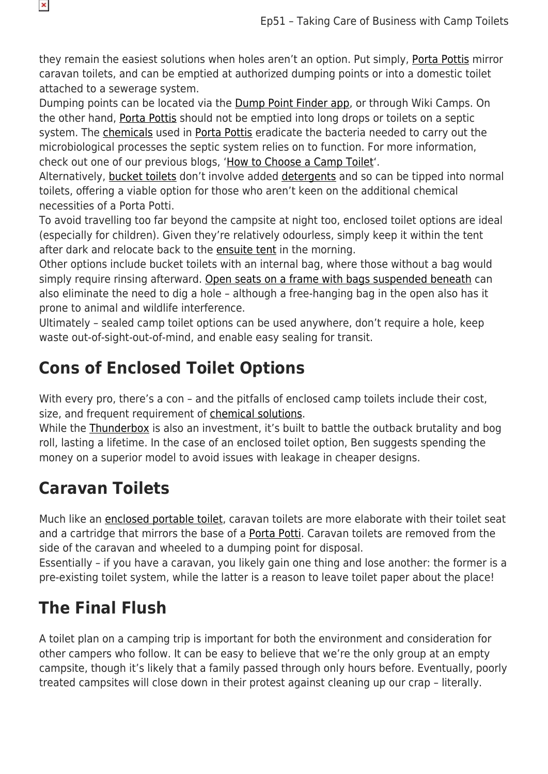they remain the easiest solutions when holes aren't an option. Put simply, [Porta Pottis](https://www.snowys.com.au/portapotti-qube-365) mirror caravan toilets, and can be emptied at authorized dumping points or into a domestic toilet attached to a sewerage system.

Dumping points can be located via the **Dump Point Finder app**, or through Wiki Camps. On the other hand, [Porta Pottis](https://www.snowys.com.au/portapotti-qube-365) should not be emptied into long drops or toilets on a septic system. The [chemicals](https://www.snowys.com.au/search?w=toilet%20detergent) used in [Porta Pottis](https://www.snowys.com.au/portapotti-qube-365) eradicate the bacteria needed to carry out the microbiological processes the septic system relies on to function. For more information, check out one of our previous blogs, ['How to Choose a Camp Toilet'](https://www.snowys.com.au/blog/how-to-choose-a-camp-toilet/).

Alternatively, [bucket toilets](https://www.snowys.com.au/thunder-down-under-toilet) don't involve added [detergents](https://www.snowys.com.au/search?w=toilet%20detergent) and so can be tipped into normal toilets, offering a viable option for those who aren't keen on the additional chemical necessities of a Porta Potti.

To avoid travelling too far beyond the campsite at night too, enclosed toilet options are ideal (especially for children). Given they're relatively odourless, simply keep it within the tent after dark and relocate back to the [ensuite tent](https://www.snowys.com.au/search?w=ensuite%20tents) in the morning.

Other options include bucket toilets with an internal bag, where those without a bag would simply require rinsing afterward. [Open seats on a frame with bags suspended beneath](https://www.snowys.com.au/portable-toilet) can also eliminate the need to dig a hole – although a free-hanging bag in the open also has it prone to animal and wildlife interference.

Ultimately – sealed camp toilet options can be used anywhere, don't require a hole, keep waste out-of-sight-out-of-mind, and enable easy sealing for transit.

### **Cons of Enclosed Toilet Options**

With every pro, there's a con – and the pitfalls of enclosed camp toilets include their cost, size, and frequent requirement of [chemical solutions](https://www.snowys.com.au/search?w=toilet%20chemicals).

While the [Thunderbox](https://www.snowys.com.au/jimmys-thunderbox-toilet) is also an investment, it's built to battle the outback brutality and bog roll, lasting a lifetime. In the case of an enclosed toilet option, Ben suggests spending the money on a superior model to avoid issues with leakage in cheaper designs.

### **Caravan Toilets**

 $\pmb{\times}$ 

Much like an [enclosed portable toilet](https://www.snowys.com.au/jimmys-thunderbox-toilet), caravan toilets are more elaborate with their toilet seat and a cartridge that mirrors the base of a [Porta Potti](https://www.snowys.com.au/portapotti-qube-365). Caravan toilets are removed from the side of the caravan and wheeled to a dumping point for disposal.

Essentially – if you have a caravan, you likely gain one thing and lose another: the former is a pre-existing toilet system, while the latter is a reason to leave toilet paper about the place!

# **The Final Flush**

A toilet plan on a camping trip is important for both the environment and consideration for other campers who follow. It can be easy to believe that we're the only group at an empty campsite, though it's likely that a family passed through only hours before. Eventually, poorly treated campsites will close down in their protest against cleaning up our crap – literally.